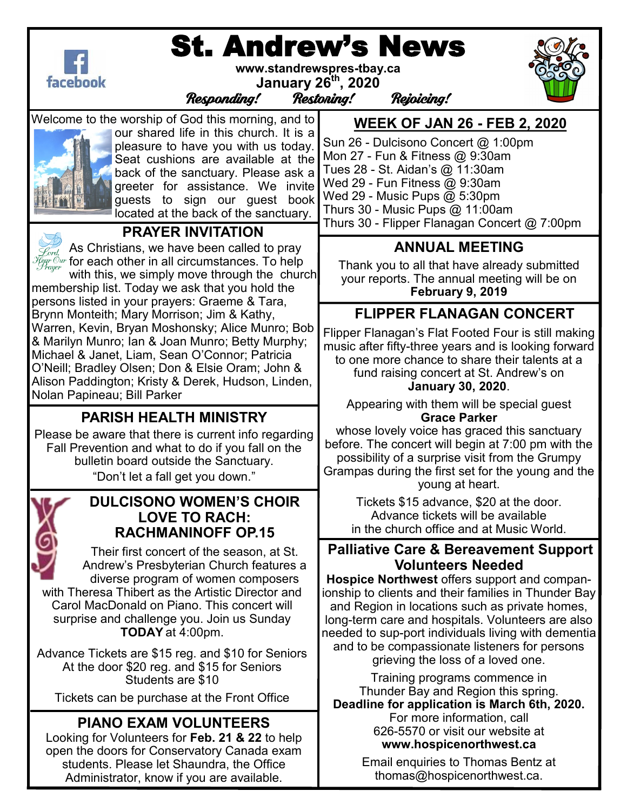

# St. Andrew's News

**www.standrewspres-tbay.ca** 



**January 26th, 2020**

Responding! Restoring! Rejoicing!

Welcome to the worship of God this morning, and to



our shared life in this church. It is a pleasure to have you with us today. Seat cushions are available at the back of the sanctuary. Please ask a greeter for assistance. We invite guests to sign our guest book located at the back of the sanctuary.



#### **PRAYER INVITATION**

As Christians, we have been called to pray  $\widetilde{\mathcal{H}}_{\mathcal{F}\!\mathit{c}\!\mathit{y}\!\mathit{y}\!\mathit{r}}^{\mathcal{C}\!\mathit{w}\!\mathit{r}}$  for each other in all circumstances. To help

with this, we simply move through the church membership list. Today we ask that you hold the persons listed in your prayers: Graeme & Tara, Brynn Monteith; Mary Morrison; Jim & Kathy, Warren, Kevin, Bryan Moshonsky; Alice Munro; Bob & Marilyn Munro; Ian & Joan Munro; Betty Murphy; Michael & Janet, Liam, Sean O'Connor; Patricia O'Neill; Bradley Olsen; Don & Elsie Oram; John & Alison Paddington; Kristy & Derek, Hudson, Linden, Nolan Papineau; Bill Parker

## **PARISH HEALTH MINISTRY**

Please be aware that there is current info regarding Fall Prevention and what to do if you fall on the bulletin board outside the Sanctuary. "Don't let a fall get you down."



#### **DULCISONO WOMEN'S CHOIR LOVE TO RACH: RACHMANINOFF OP.15**

Their first concert of the season, at St. Andrew's Presbyterian Church features a diverse program of women composers with Theresa Thibert as the Artistic Director and Carol MacDonald on Piano. This concert will surprise and challenge you. Join us Sunday **TODAY** at 4:00pm.

Advance Tickets are \$15 reg. and \$10 for Seniors At the door \$20 reg. and \$15 for Seniors Students are \$10

Tickets can be purchase at the Front Office

## **PIANO EXAM VOLUNTEERS**

Looking for Volunteers for **Feb. 21 & 22** to help open the doors for Conservatory Canada exam students. Please let Shaundra, the Office Administrator, know if you are available.

**WEEK OF JAN 26 - FEB 2, 2020** 

Sun 26 - Dulcisono Concert @ 1:00pm Mon 27 - Fun & Fitness @ 9:30am Tues 28 - St. Aidan's @ 11:30am Wed 29 - Fun Fitness @ 9:30am Wed 29 - Music Pups @ 5:30pm Thurs 30 - Music Pups @ 11:00am Thurs 30 - Flipper Flanagan Concert @ 7:00pm

## **ANNUAL MEETING**

Thank you to all that have already submitted your reports. The annual meeting will be on **February 9, 2019** 

#### **FLIPPER FLANAGAN CONCERT**

Flipper Flanagan's Flat Footed Four is still making music after fifty-three years and is looking forward to one more chance to share their talents at a fund raising concert at St. Andrew's on **January 30, 2020**.

Appearing with them will be special guest **Grace Parker** 

whose lovely voice has graced this sanctuary before. The concert will begin at 7:00 pm with the possibility of a surprise visit from the Grumpy Grampas during the first set for the young and the young at heart.

Tickets \$15 advance, \$20 at the door. Advance tickets will be available in the church office and at Music World.

#### **Palliative Care & Bereavement Support Volunteers Needed**

**Hospice Northwest** offers support and companionship to clients and their families in Thunder Bay and Region in locations such as private homes, long-term care and hospitals. Volunteers are also needed to sup-port individuals living with dementia and to be compassionate listeners for persons grieving the loss of a loved one.

Training programs commence in Thunder Bay and Region this spring.

**Deadline for application is March 6th, 2020.**  For more information, call 626-5570 or visit our website at **www.hospicenorthwest.ca** 

> Email enquiries to Thomas Bentz at thomas@hospicenorthwest.ca.